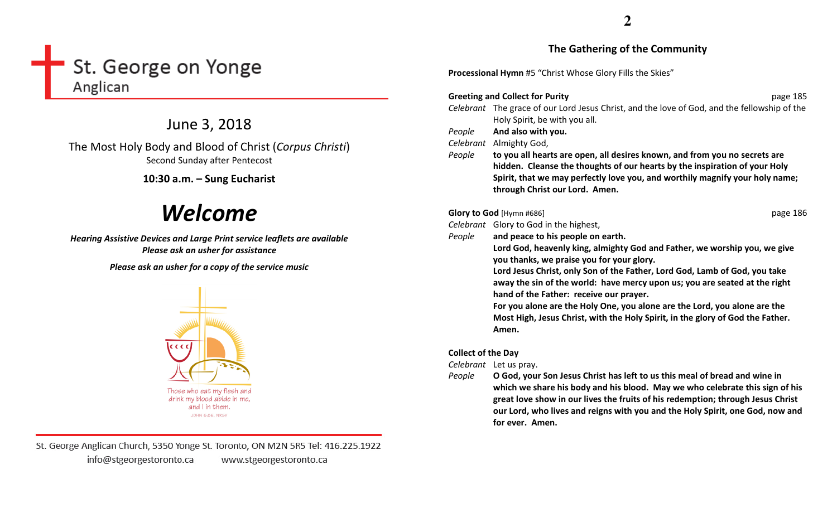# St. George on Yonge Anglican

June 3, 2018

The Most Holy Body and Blood of Christ (Corpus Christi) Second Sunday after Pentecost

10:30 a.m. – Sung Eucharist

# Welcome

Hearing Assistive Devices and Large Print service leaflets are available Please ask an usher for assistance

Please ask an usher for a copy of the service music



St. George Anglican Church, 5350 Yonge St. Toronto, ON M2N 5R5 Tel: 416.225.1922 info@stgeorgestoronto.ca www.stgeorgestoronto.ca

### The Gathering of the Community

Processional Hymn #5 "Christ Whose Glory Fills the Skies"

for ever. Amen.

|                           | <b>Greeting and Collect for Purity</b><br>page 185                                                                                                         |
|---------------------------|------------------------------------------------------------------------------------------------------------------------------------------------------------|
|                           | Celebrant The grace of our Lord Jesus Christ, and the love of God, and the fellowship of the<br>Holy Spirit, be with you all.                              |
| People                    | And also with you.                                                                                                                                         |
|                           | Celebrant Almighty God,                                                                                                                                    |
| People                    | to you all hearts are open, all desires known, and from you no secrets are                                                                                 |
|                           | hidden. Cleanse the thoughts of our hearts by the inspiration of your Holy                                                                                 |
|                           | Spirit, that we may perfectly love you, and worthily magnify your holy name;                                                                               |
|                           | through Christ our Lord. Amen.                                                                                                                             |
|                           | Glory to God [Hymn #686]<br>page 186                                                                                                                       |
|                           | Celebrant Glory to God in the highest,                                                                                                                     |
| People                    | and peace to his people on earth.                                                                                                                          |
|                           | Lord God, heavenly king, almighty God and Father, we worship you, we give                                                                                  |
|                           | you thanks, we praise you for your glory.                                                                                                                  |
|                           | Lord Jesus Christ, only Son of the Father, Lord God, Lamb of God, you take                                                                                 |
|                           | away the sin of the world: have mercy upon us; you are seated at the right<br>hand of the Father: receive our prayer.                                      |
|                           | For you alone are the Holy One, you alone are the Lord, you alone are the                                                                                  |
|                           | Most High, Jesus Christ, with the Holy Spirit, in the glory of God the Father.                                                                             |
|                           | Amen.                                                                                                                                                      |
| <b>Collect of the Day</b> |                                                                                                                                                            |
|                           | Celebrant Let us pray.                                                                                                                                     |
| People                    | O God, your Son Jesus Christ has left to us this meal of bread and wine in<br>which we share his body and his blood. May we who celebrate this sign of his |

great love show in our lives the fruits of his redemption; through Jesus Christ our Lord, who lives and reigns with you and the Holy Spirit, one God, now and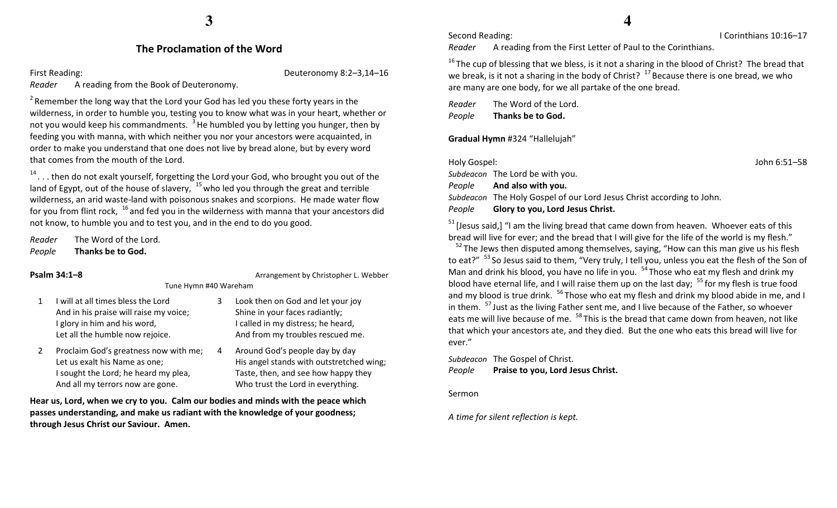### The Proclamation of the Word

First Reading: Deuteronomy 8:2–3,14–16

Reader A reading from the Book of Deuteronomy.

 $2R$  Remember the long way that the Lord your God has led you these forty years in the wilderness, in order to humble you, testing you to know what was in your heart, whether or not you would keep his commandments.  $3$  He humbled you by letting you hunger, then by feeding you with manna, with which neither you nor your ancestors were acquainted, in order to make you understand that one does not live by bread alone, but by every word that comes from the mouth of the Lord.

 $14...$  then do not exalt yourself, forgetting the Lord your God, who brought you out of the land of Egypt, out of the house of slavery,  $15$  who led you through the great and terrible wilderness, an arid waste-land with poisonous snakes and scorpions. He made water flow for you from flint rock,  $^{16}$  and fed you in the wilderness with manna that your ancestors did not know, to humble you and to test you, and in the end to do you good.

Reader The Word of the Lord.

PeopleThanks be to God.

#### Psalm 34:1–8

Arrangement by Christopher L. Webber

Tune Hymn #40 Wareham

- 1 I will at all times bless the Lord And in his praise will raise my voice; I glory in him and his word, Let all the humble now rejoice.
- 2 Proclaim God's greatness now with me; Let us exalt his Name as one; I sought the Lord; he heard my plea, And all my terrors now are gone.
- 3 Look then on God and let your joy Shine in your faces radiantly; I called in my distress; he heard, And from my troubles rescued me.
- 4 Around God's people day by day His angel stands with outstretched wing; Taste, then, and see how happy they Who trust the Lord in everything.

Hear us, Lord, when we cry to you. Calm our bodies and minds with the peace which passes understanding, and make us radiant with the knowledge of your goodness; through Jesus Christ our Saviour. Amen.

Second Reading: Internal Communication of the Corinthians 10:16–17

Reader A reading from the First Letter of Paul to the Corinthians.

 $16$ The cup of blessing that we bless, is it not a sharing in the blood of Christ? The bread that we break, is it not a sharing in the body of Christ?  $17$  Because there is one bread, we who are many are one body, for we all partake of the one bread.

Reader The Word of the Lord. PeopleThanks be to God.

Gradual Hymn #324 "Hallelujah"

Holy Gospel: John 6:51–58

Subdeacon The Lord be with you.

PeopleAnd also with you.

Subdeacon The Holy Gospel of our Lord Jesus Christ according to John.

PeopleGlory to you, Lord Jesus Christ.

 $51$  [Jesus said,] "I am the living bread that came down from heaven. Whoever eats of this bread will live for ever; and the bread that I will give for the life of the world is my flesh."

 $52$  The Jews then disputed among themselves, saying, "How can this man give us his flesh to eat?" <sup>53</sup> So Jesus said to them, "Very truly, I tell you, unless you eat the flesh of the Son of Man and drink his blood, you have no life in you.  $54$  Those who eat my flesh and drink my blood have eternal life, and I will raise them up on the last day;  $55$  for my flesh is true food and my blood is true drink.  $^{56}$ Those who eat my flesh and drink my blood abide in me, and I in them.  $57$  Just as the living Father sent me, and I live because of the Father, so whoever eats me will live because of me. <sup>58</sup>This is the bread that came down from heaven, not like that which your ancestors ate, and they died. But the one who eats this bread will live for ever."

Subdeacon The Gospel of Christ. PeoplePraise to you, Lord Jesus Christ.

#### Sermon

A time for silent reflection is kept.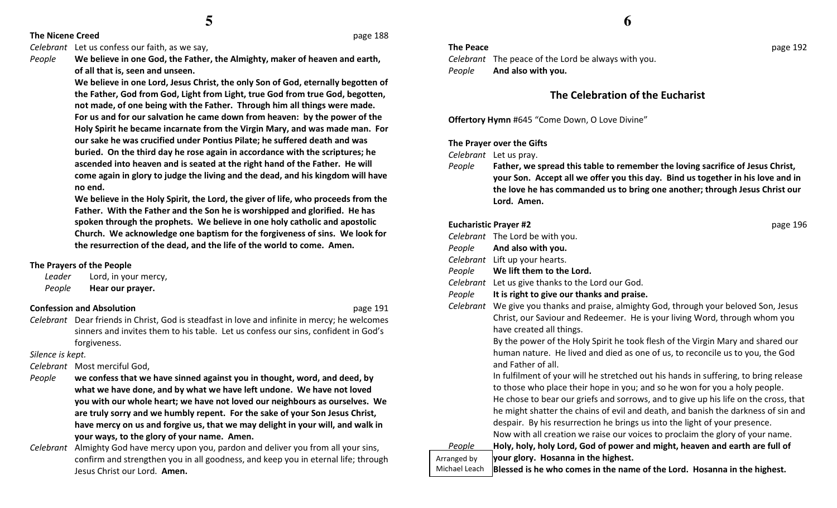# d by a page 188

Celebrant Let us confess our faith, as we say,

The Nicene Creed

People We believe in one God, the Father, the Almighty, maker of heaven and earth, of all that is, seen and unseen.

> We believe in one Lord, Jesus Christ, the only Son of God, eternally begotten of the Father, God from God, Light from Light, true God from true God, begotten, not made, of one being with the Father. Through him all things were made. For us and for our salvation he came down from heaven: by the power of the Holy Spirit he became incarnate from the Virgin Mary, and was made man. For our sake he was crucified under Pontius Pilate; he suffered death and was buried. On the third day he rose again in accordance with the scriptures; he ascended into heaven and is seated at the right hand of the Father. He will come again in glory to judge the living and the dead, and his kingdom will have no end.

> We believe in the Holy Spirit, the Lord, the giver of life, who proceeds from the Father. With the Father and the Son he is worshipped and glorified. He has spoken through the prophets. We believe in one holy catholic and apostolic Church. We acknowledge one baptism for the forgiveness of sins. We look for the resurrection of the dead, and the life of the world to come. Amen.

#### The Prayers of the People

Leader Lord, in your mercy, PeopleHear our prayer.

#### Confession and Absolution

n and the contract of the contract of the page 191

Celebrant Dear friends in Christ, God is steadfast in love and infinite in mercy; he welcomes sinners and invites them to his table. Let us confess our sins, confident in God's forgiveness.

#### Silence is kept.

Celebrant Most merciful God,

- People we confess that we have sinned against you in thought, word, and deed, by what we have done, and by what we have left undone. We have not loved you with our whole heart; we have not loved our neighbours as ourselves. We are truly sorry and we humbly repent. For the sake of your Son Jesus Christ, have mercy on us and forgive us, that we may delight in your will, and walk in your ways, to the glory of your name. Amen.
- Celebrant Almighty God have mercy upon you, pardon and deliver you from all your sins, confirm and strengthen you in all goodness, and keep you in eternal life; through Jesus Christ our Lord. Amen.

#### The Peace

Celebrant The peace of the Lord be always with you. PeopleAnd also with you.

# The Celebration of the Eucharist

Offertory Hymn #645 "Come Down, O Love Divine"

#### The Prayer over the Gifts

Celebrant Let us pray.

People Father, we spread this table to remember the loving sacrifice of Jesus Christ, your Son. Accept all we offer you this day. Bind us together in his love and in the love he has commanded us to bring one another; through Jesus Christ our Lord. Amen.

#### Eucharistic Prayer #2

People

Arranged by

 $2^{n}$  page 196 Celebrant The Lord be with you.

- PeopleAnd also with you.
- Celebrant Lift up your hearts.
- PeopleWe lift them to the Lord.
- Celebrant Let us give thanks to the Lord our God.
- PeopleIt is right to give our thanks and praise.
- Celebrant We give you thanks and praise, almighty God, through your beloved Son, Jesus Christ, our Saviour and Redeemer. He is your living Word, through whom you have created all things.

By the power of the Holy Spirit he took flesh of the Virgin Mary and shared our human nature. He lived and died as one of us, to reconcile us to you, the God and Father of all.

In fulfilment of your will he stretched out his hands in suffering, to bring release to those who place their hope in you; and so he won for you a holy people.

He chose to bear our griefs and sorrows, and to give up his life on the cross, that he might shatter the chains of evil and death, and banish the darkness of sin and despair. By his resurrection he brings us into the light of your presence.

Now with all creation we raise our voices to proclaim the glory of your name.

 Holy, holy, holy Lord, God of power and might, heaven and earth are full of your glory. Hosanna in the highest.

Blessed is he who comes in the name of the Lord. Hosanna in the highest. Michael Leach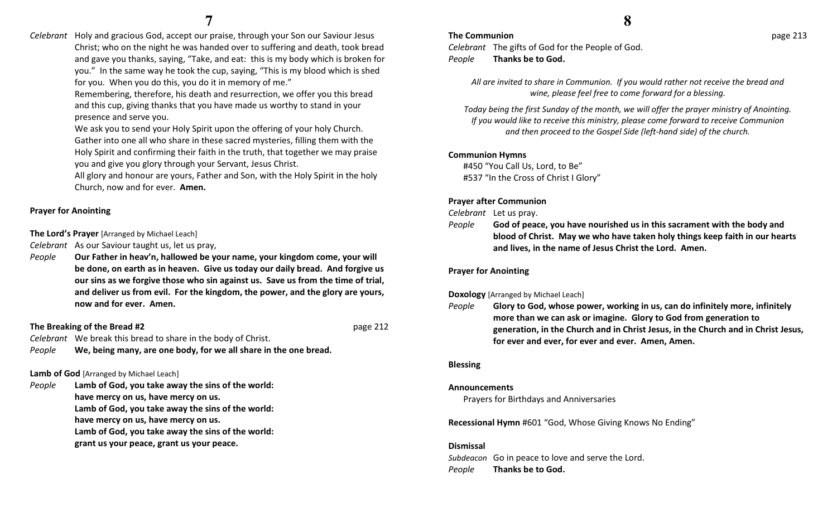Celebrant Holy and gracious God, accept our praise, through your Son our Saviour Jesus Christ; who on the night he was handed over to suffering and death, took bread and gave you thanks, saying, "Take, and eat: this is my body which is broken for you." In the same way he took the cup, saying, "This is my blood which is shed for you. When you do this, you do it in memory of me."

> Remembering, therefore, his death and resurrection, we offer you this bread and this cup, giving thanks that you have made us worthy to stand in your presence and serve you.

We ask you to send your Holy Spirit upon the offering of your holy Church. Gather into one all who share in these sacred mysteries, filling them with the Holy Spirit and confirming their faith in the truth, that together we may praise you and give you glory through your Servant, Jesus Christ.

All glory and honour are yours, Father and Son, with the Holy Spirit in the holy Church, now and for ever. Amen.

#### Prayer for Anointing

The Lord's Prayer [Arranged by Michael Leach]

Celebrant As our Saviour taught us, let us pray,

People Our Father in heav'n, hallowed be your name, your kingdom come, your will be done, on earth as in heaven. Give us today our daily bread. And forgive us our sins as we forgive those who sin against us. Save us from the time of trial, and deliver us from evil. For the kingdom, the power, and the glory are yours, now and for ever. Amen.

#### The Breaking of the Bread #2

 $2^{n}$  page 212

Celebrant We break this bread to share in the body of Christ.

PeopleWe, being many, are one body, for we all share in the one bread.

# **Lamb of God** [Arranged by Michael Leach]

People Lamb of God, you take away the sins of the world: have mercy on us, have mercy on us. Lamb of God, you take away the sins of the world: have mercy on us, have mercy on us. Lamb of God, you take away the sins of the world: grant us your peace, grant us your peace.

**8**

**n** page 213 Celebrant The gifts of God for the People of God. PeopleThanks be to God.

All are invited to share in Communion. If you would rather not receive the bread and wine, please feel free to come forward for a blessing.

Today being the first Sunday of the month, we will offer the prayer ministry of Anointing. If you would like to receive this ministry, please come forward to receive Communion and then proceed to the Gospel Side (left-hand side) of the church.

#### Communion Hymns

The Communion

 #450 "You Call Us, Lord, to Be" #537 "In the Cross of Christ I Glory"

#### Prayer after Communion

Celebrant Let us pray.

People God of peace, you have nourished us in this sacrament with the body and blood of Christ. May we who have taken holy things keep faith in our hearts and lives, in the name of Jesus Christ the Lord. Amen.

#### Prayer for Anointing

**Doxology** [Arranged by Michael Leach]

People Glory to God, whose power, working in us, can do infinitely more, infinitely more than we can ask or imagine. Glory to God from generation to generation, in the Church and in Christ Jesus, in the Church and in Christ Jesus, for ever and ever, for ever and ever. Amen, Amen.

#### Blessing

#### Announcements

Prayers for Birthdays and Anniversaries

Recessional Hymn #601 "God, Whose Giving Knows No Ending"

#### Dismissal

Subdeacon Go in peace to love and serve the Lord. PeopleThanks be to God.